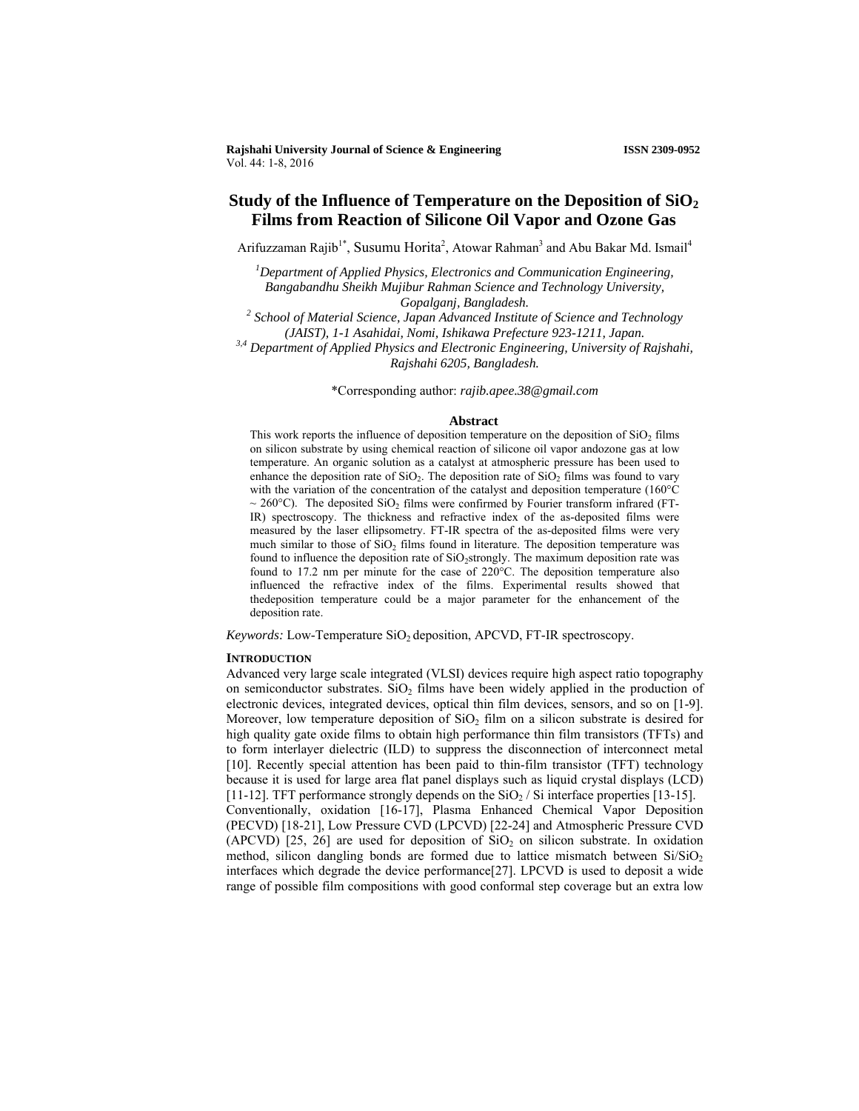# **Study of the Influence of Temperature on the Deposition of SiO2 Films from Reaction of Silicone Oil Vapor and Ozone Gas**

Arifuzzaman Rajib<sup>1\*</sup>, Susumu Horita<sup>2</sup>, Atowar Rahman<sup>3</sup> and Abu Bakar Md. Ismail<sup>4</sup>

<sup>1</sup>Department of Applied Physics, Electronics and Communication Engineering, *Bangabandhu Sheikh Mujibur Rahman Science and Technology University, Gopalganj, Bangladesh. 2 School of Material Science, Japan Advanced Institute of Science and Technology* 

*(JAIST), 1-1 Asahidai, Nomi, Ishikawa Prefecture 923-1211, Japan. 3,4 Department of Applied Physics and Electronic Engineering, University of Rajshahi, Rajshahi 6205, Bangladesh.*

\*Corresponding author: *rajib.apee.38@gmail.com*

#### **Abstract**

This work reports the influence of deposition temperature on the deposition of  $SiO<sub>2</sub>$  films on silicon substrate by using chemical reaction of silicone oil vapor andozone gas at low temperature. An organic solution as a catalyst at atmospheric pressure has been used to enhance the deposition rate of  $SiO<sub>2</sub>$ . The deposition rate of  $SiO<sub>2</sub>$  films was found to vary with the variation of the concentration of the catalyst and deposition temperature (160°C  $\sim$  260°C). The deposited SiO<sub>2</sub> films were confirmed by Fourier transform infrared (FT-IR) spectroscopy. The thickness and refractive index of the as-deposited films were measured by the laser ellipsometry. FT-IR spectra of the as-deposited films were very much similar to those of  $SiO<sub>2</sub>$  films found in literature. The deposition temperature was found to influence the deposition rate of  $SiO<sub>2</sub>$ strongly. The maximum deposition rate was found to 17.2 nm per minute for the case of 220°C. The deposition temperature also influenced the refractive index of the films. Experimental results showed that thedeposition temperature could be a major parameter for the enhancement of the deposition rate.

*Keywords: Low-Temperature SiO<sub>2</sub> deposition, APCVD, FT-IR spectroscopy.* 

## **INTRODUCTION**

Advanced very large scale integrated (VLSI) devices require high aspect ratio topography on semiconductor substrates.  $SiO<sub>2</sub>$  films have been widely applied in the production of electronic devices, integrated devices, optical thin film devices, sensors, and so on [1-9]. Moreover, low temperature deposition of  $SiO<sub>2</sub>$  film on a silicon substrate is desired for high quality gate oxide films to obtain high performance thin film transistors (TFTs) and to form interlayer dielectric (ILD) to suppress the disconnection of interconnect metal [10]. Recently special attention has been paid to thin-film transistor (TFT) technology because it is used for large area flat panel displays such as liquid crystal displays (LCD) [11-12]. TFT performance strongly depends on the  $SiO<sub>2</sub>$  / Si interface properties [13-15]. Conventionally, oxidation [16-17], Plasma Enhanced Chemical Vapor Deposition (PECVD) [18-21], Low Pressure CVD (LPCVD) [22-24] and Atmospheric Pressure CVD (APCVD)  $[25, 26]$  are used for deposition of  $SiO<sub>2</sub>$  on silicon substrate. In oxidation method, silicon dangling bonds are formed due to lattice mismatch between  $Si/SiO<sub>2</sub>$ interfaces which degrade the device performance[27]. LPCVD is used to deposit a wide range of possible film compositions with good conformal step coverage but an extra low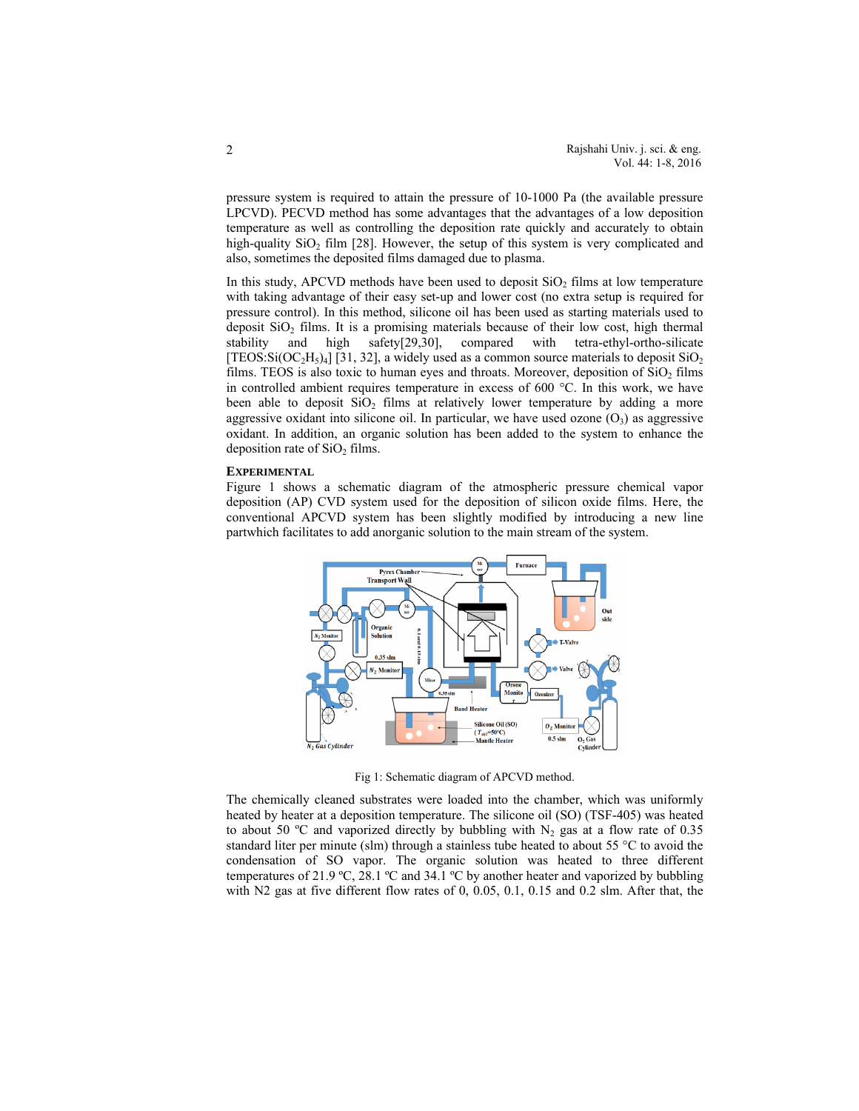pressure system is required to attain the pressure of 10-1000 Pa (the available pressure LPCVD). PECVD method has some advantages that the advantages of a low deposition temperature as well as controlling the deposition rate quickly and accurately to obtain high-quality  $SiO<sub>2</sub>$  film [28]. However, the setup of this system is very complicated and also, sometimes the deposited films damaged due to plasma.

In this study, APCVD methods have been used to deposit  $SiO<sub>2</sub>$  films at low temperature with taking advantage of their easy set-up and lower cost (no extra setup is required for pressure control). In this method, silicone oil has been used as starting materials used to deposit  $SiO<sub>2</sub>$  films. It is a promising materials because of their low cost, high thermal stability and high safety[29,30], compared with tetra-ethyl-ortho-silicate [TEOS:Si( $OC_2H_5$ )<sub>4</sub>] [31, 32], a widely used as a common source materials to deposit SiO<sub>2</sub> films. TEOS is also toxic to human eyes and throats. Moreover, deposition of  $SiO<sub>2</sub>$  films in controlled ambient requires temperature in excess of 600 °C. In this work, we have been able to deposit  $SiO<sub>2</sub>$  films at relatively lower temperature by adding a more aggressive oxidant into silicone oil. In particular, we have used ozone  $(O_3)$  as aggressive oxidant. In addition, an organic solution has been added to the system to enhance the deposition rate of  $SiO<sub>2</sub>$  films.

### **EXPERIMENTAL**

Figure 1 shows a schematic diagram of the atmospheric pressure chemical vapor deposition (AP) CVD system used for the deposition of silicon oxide films. Here, the conventional APCVD system has been slightly modified by introducing a new line partwhich facilitates to add anorganic solution to the main stream of the system.



Fig 1: Schematic diagram of APCVD method.

The chemically cleaned substrates were loaded into the chamber, which was uniformly heated by heater at a deposition temperature. The silicone oil (SO) (TSF-405) was heated to about 50 °C and vaporized directly by bubbling with  $N_2$  gas at a flow rate of 0.35 standard liter per minute (slm) through a stainless tube heated to about 55 °C to avoid the condensation of SO vapor. The organic solution was heated to three different temperatures of 21.9 ºC, 28.1 ºC and 34.1 ºC by another heater and vaporized by bubbling with N2 gas at five different flow rates of 0, 0.05, 0.1, 0.15 and 0.2 slm. After that, the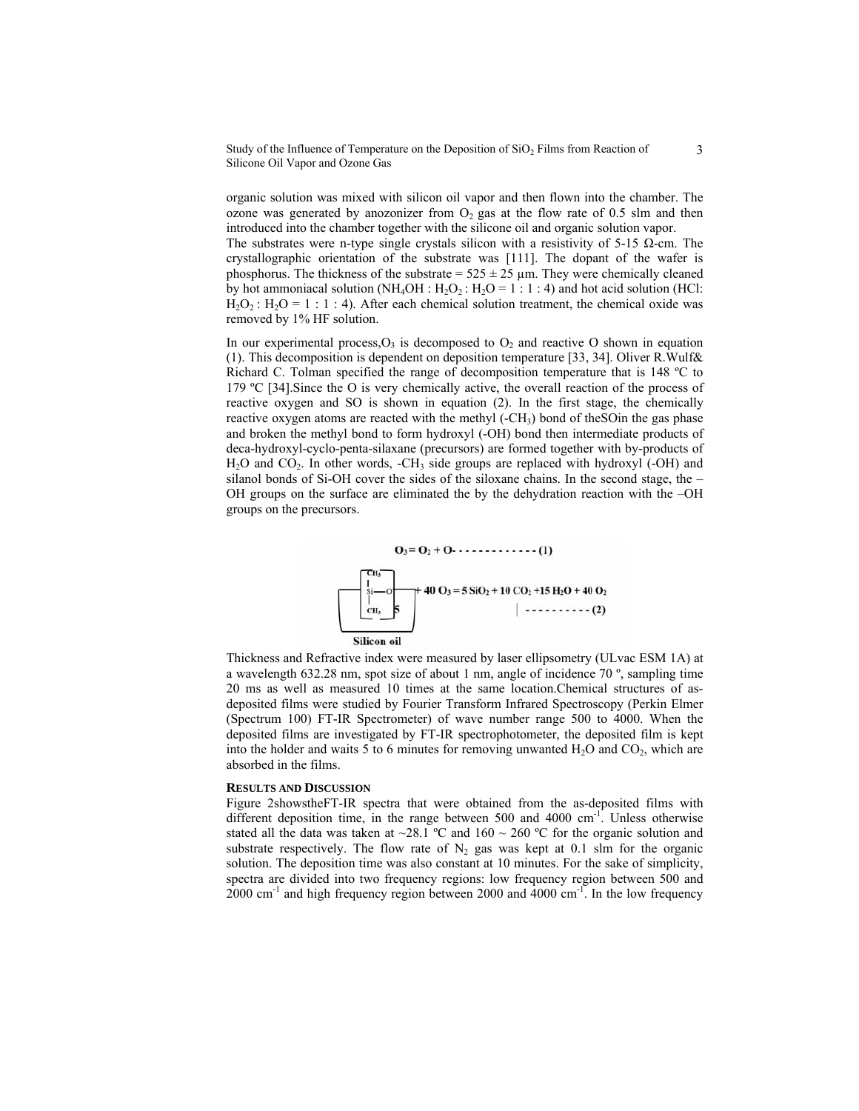Study of the Influence of Temperature on the Deposition of  $SiO<sub>2</sub>$  Films from Reaction of Silicone Oil Vapor and Ozone Gas

organic solution was mixed with silicon oil vapor and then flown into the chamber. The ozone was generated by anozonizer from  $O_2$  gas at the flow rate of 0.5 slm and then introduced into the chamber together with the silicone oil and organic solution vapor.

The substrates were n-type single crystals silicon with a resistivity of 5-15  $\Omega$ -cm. The crystallographic orientation of the substrate was [111]. The dopant of the wafer is phosphorus. The thickness of the substrate =  $525 \pm 25$  µm. They were chemically cleaned by hot ammoniacal solution (NH<sub>4</sub>OH : H<sub>2</sub>O<sub>2</sub> : H<sub>2</sub>O = 1 : 1 : 4) and hot acid solution (HCl:  $H_2O_2$ :  $H_2O = 1$ : 1 : 4). After each chemical solution treatment, the chemical oxide was removed by 1% HF solution.

In our experimental process, $O_3$  is decomposed to  $O_2$  and reactive O shown in equation (1). This decomposition is dependent on deposition temperature [33, 34]. Oliver R.Wulf& Richard C. Tolman specified the range of decomposition temperature that is 148 ºC to 179 ºC [34].Since the O is very chemically active, the overall reaction of the process of reactive oxygen and SO is shown in equation (2). In the first stage, the chemically reactive oxygen atoms are reacted with the methyl  $(-CH_3)$  bond of the SO in the gas phase and broken the methyl bond to form hydroxyl (-OH) bond then intermediate products of deca-hydroxyl-cyclo-penta-silaxane (precursors) are formed together with by-products of  $H<sub>2</sub>O$  and  $CO<sub>2</sub>$ . In other words, -CH<sub>3</sub> side groups are replaced with hydroxyl (-OH) and silanol bonds of Si-OH cover the sides of the siloxane chains. In the second stage, the – OH groups on the surface are eliminated the by the dehydration reaction with the –OH groups on the precursors.



Thickness and Refractive index were measured by laser ellipsometry (ULvac ESM 1A) at a wavelength 632.28 nm, spot size of about 1 nm, angle of incidence 70 º, sampling time 20 ms as well as measured 10 times at the same location.Chemical structures of asdeposited films were studied by Fourier Transform Infrared Spectroscopy (Perkin Elmer (Spectrum 100) FT-IR Spectrometer) of wave number range 500 to 4000. When the deposited films are investigated by FT-IR spectrophotometer, the deposited film is kept into the holder and waits 5 to 6 minutes for removing unwanted  $H_2O$  and  $CO_2$ , which are absorbed in the films.

#### **RESULTS AND DISCUSSION**

Figure 2showstheFT-IR spectra that were obtained from the as-deposited films with different deposition time, in the range between 500 and 4000  $cm^{-1}$ . Unless otherwise stated all the data was taken at  $\sim$ 28.1 °C and 160  $\sim$  260 °C for the organic solution and substrate respectively. The flow rate of  $N_2$  gas was kept at 0.1 slm for the organic solution. The deposition time was also constant at 10 minutes. For the sake of simplicity, spectra are divided into two frequency regions: low frequency region between 500 and  $2000 \text{ cm}^{-1}$  and high frequency region between 2000 and 4000 cm<sup>-1</sup>. In the low frequency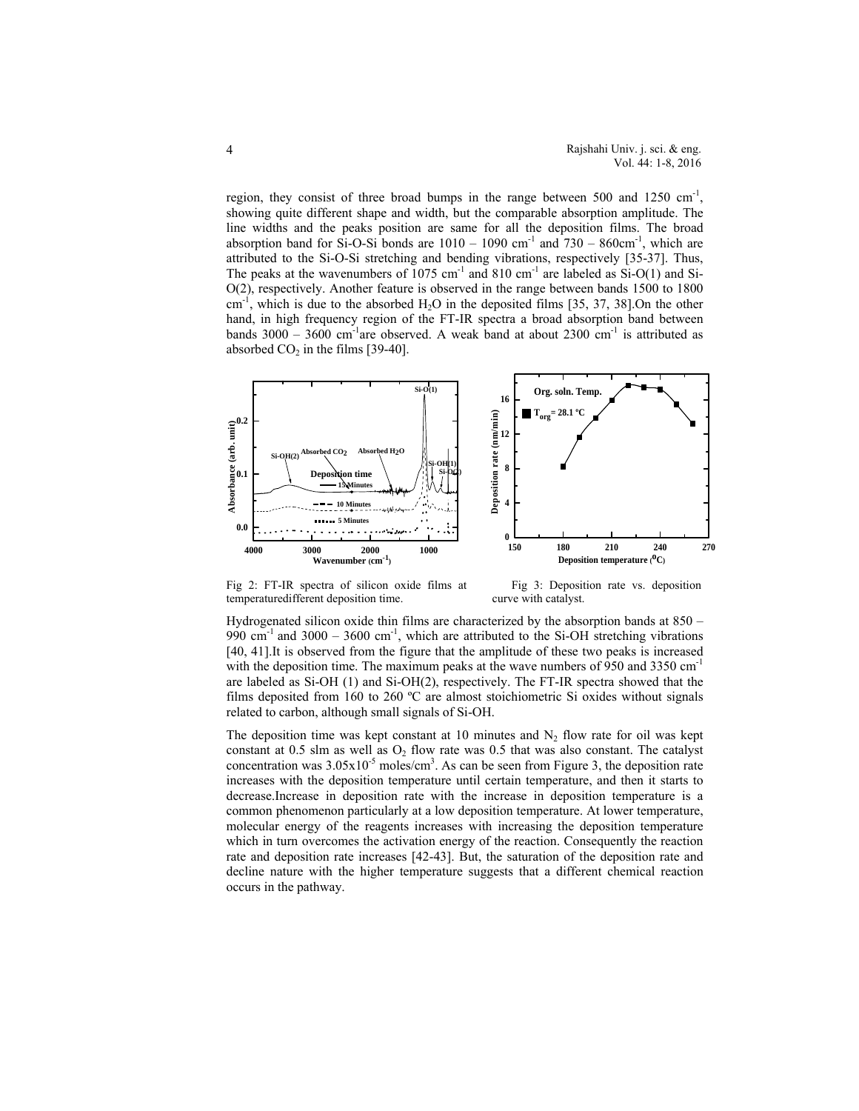region, they consist of three broad bumps in the range between 500 and 1250  $cm^{-1}$ , showing quite different shape and width, but the comparable absorption amplitude. The line widths and the peaks position are same for all the deposition films. The broad absorption band for Si-O-Si bonds are  $1010 - 1090$  cm<sup>-1</sup> and  $730 - 860$ cm<sup>-1</sup>, which are attributed to the Si-O-Si stretching and bending vibrations, respectively [35-37]. Thus, The peaks at the wavenumbers of  $1075 \text{ cm}^{-1}$  and  $810 \text{ cm}^{-1}$  are labeled as  $Si-O(1)$  and Si-O(2), respectively. Another feature is observed in the range between bands 1500 to 1800  $cm^{-1}$ , which is due to the absorbed H<sub>2</sub>O in the deposited films [35, 37, 38].On the other hand, in high frequency region of the FT-IR spectra a broad absorption band between bands  $3000 - 3600$  cm<sup>-1</sup>are observed. A weak band at about  $2300$  cm<sup>-1</sup> is attributed as absorbed  $CO<sub>2</sub>$  in the films [39-40].



Fig 2: FT-IR spectra of silicon oxide films at Fig 3: Deposition rate vs. deposition temperaturedifferent deposition time. curve with catalyst.

Hydrogenated silicon oxide thin films are characterized by the absorption bands at 850 – 990  $cm^{-1}$  and 3000 – 3600  $cm^{-1}$ , which are attributed to the Si-OH stretching vibrations [40, 41].It is observed from the figure that the amplitude of these two peaks is increased with the deposition time. The maximum peaks at the wave numbers of 950 and 3350  $cm^{-1}$ are labeled as Si-OH (1) and Si-OH(2), respectively. The FT-IR spectra showed that the films deposited from 160 to 260 ºC are almost stoichiometric Si oxides without signals related to carbon, although small signals of Si-OH.

The deposition time was kept constant at 10 minutes and  $N_2$  flow rate for oil was kept constant at 0.5 slm as well as  $O_2$  flow rate was 0.5 that was also constant. The catalyst concentration was  $3.05 \times 10^{-5}$  moles/cm<sup>3</sup>. As can be seen from Figure 3, the deposition rate increases with the deposition temperature until certain temperature, and then it starts to decrease.Increase in deposition rate with the increase in deposition temperature is a common phenomenon particularly at a low deposition temperature. At lower temperature, molecular energy of the reagents increases with increasing the deposition temperature which in turn overcomes the activation energy of the reaction. Consequently the reaction rate and deposition rate increases [42-43]. But, the saturation of the deposition rate and decline nature with the higher temperature suggests that a different chemical reaction occurs in the pathway.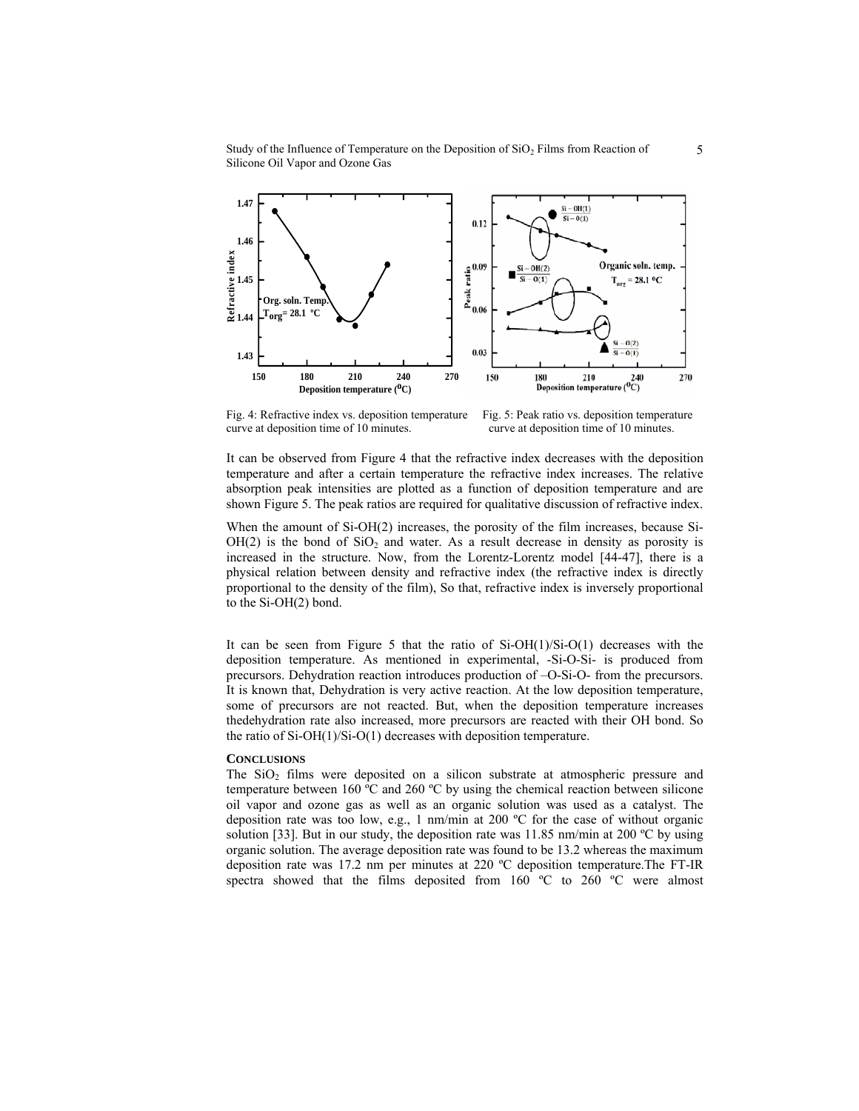Study of the Influence of Temperature on the Deposition of  $SiO<sub>2</sub>$  Films from Reaction of Silicone Oil Vapor and Ozone Gas



Fig. 4: Refractive index vs. deposition temperature Fig. 5: Peak ratio vs. deposition temperature curve at deposition time of 10 minutes. curve at deposition time of 10 minutes.

It can be observed from Figure 4 that the refractive index decreases with the deposition temperature and after a certain temperature the refractive index increases. The relative absorption peak intensities are plotted as a function of deposition temperature and are shown Figure 5. The peak ratios are required for qualitative discussion of refractive index.

When the amount of Si-OH(2) increases, the porosity of the film increases, because Si- $OH(2)$  is the bond of  $SiO<sub>2</sub>$  and water. As a result decrease in density as porosity is increased in the structure. Now, from the Lorentz-Lorentz model [44-47], there is a physical relation between density and refractive index (the refractive index is directly proportional to the density of the film), So that, refractive index is inversely proportional to the Si-OH(2) bond.

It can be seen from Figure 5 that the ratio of Si-OH(1)/Si-O(1) decreases with the deposition temperature. As mentioned in experimental, -Si-O-Si- is produced from precursors. Dehydration reaction introduces production of –O-Si-O- from the precursors. It is known that, Dehydration is very active reaction. At the low deposition temperature, some of precursors are not reacted. But, when the deposition temperature increases thedehydration rate also increased, more precursors are reacted with their OH bond. So the ratio of Si-OH(1)/Si-O(1) decreases with deposition temperature.

#### **CONCLUSIONS**

The  $SiO<sub>2</sub>$  films were deposited on a silicon substrate at atmospheric pressure and temperature between 160  $\degree$ C and 260  $\degree$ C by using the chemical reaction between silicone oil vapor and ozone gas as well as an organic solution was used as a catalyst. The deposition rate was too low, e.g., 1 nm/min at 200 ºC for the case of without organic solution [33]. But in our study, the deposition rate was  $11.85$  nm/min at 200 °C by using organic solution. The average deposition rate was found to be 13.2 whereas the maximum deposition rate was 17.2 nm per minutes at 220 ºC deposition temperature.The FT-IR spectra showed that the films deposited from 160 °C to 260 °C were almost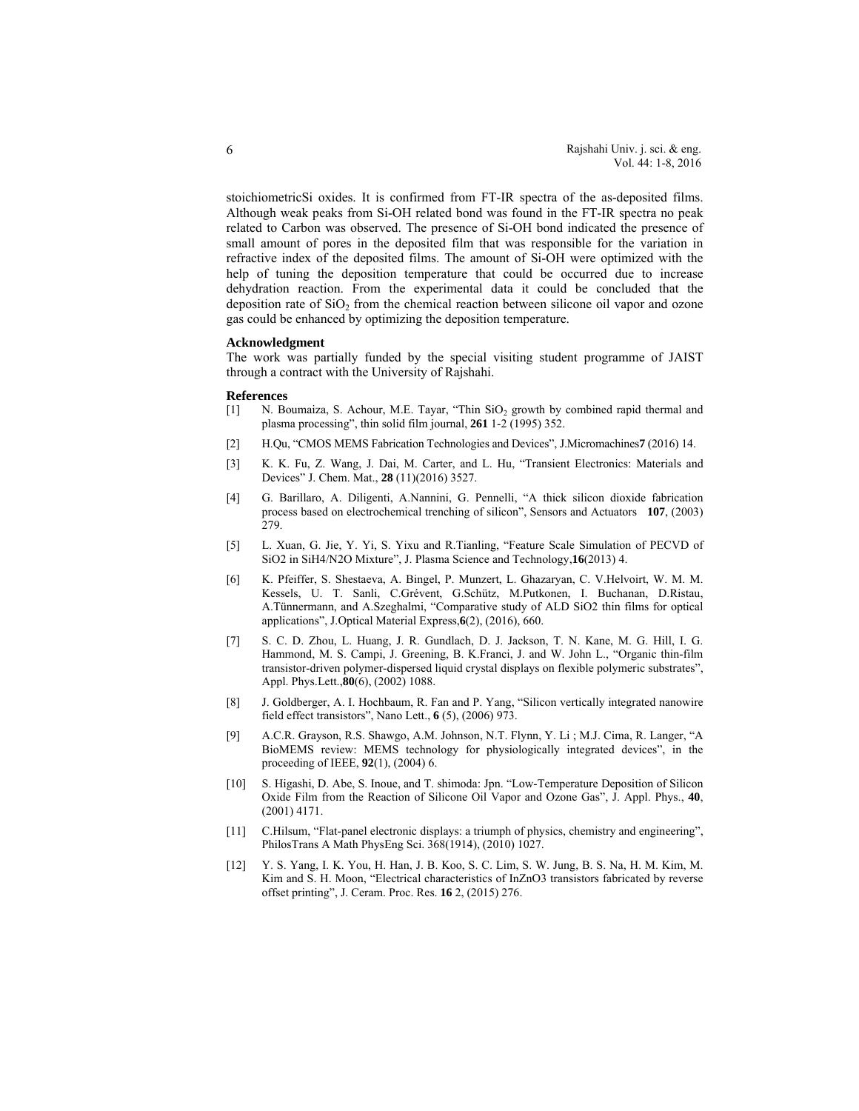stoichiometricSi oxides. It is confirmed from FT-IR spectra of the as-deposited films. Although weak peaks from Si-OH related bond was found in the FT-IR spectra no peak related to Carbon was observed. The presence of Si-OH bond indicated the presence of small amount of pores in the deposited film that was responsible for the variation in refractive index of the deposited films. The amount of Si-OH were optimized with the help of tuning the deposition temperature that could be occurred due to increase dehydration reaction. From the experimental data it could be concluded that the deposition rate of  $SiO<sub>2</sub>$  from the chemical reaction between silicone oil vapor and ozone gas could be enhanced by optimizing the deposition temperature.

#### **Acknowledgment**

The work was partially funded by the special visiting student programme of JAIST through a contract with the University of Rajshahi.

#### **References**

- [1] N. Boumaiza, S. Achour, M.E. Tayar, "Thin SiO<sub>2</sub> growth by combined rapid thermal and plasma processing", thin solid film journal, **261** 1-2 (1995) 352.
- [2] H.Qu, "CMOS MEMS Fabrication Technologies and Devices", J.Micromachines**7** (2016) 14.
- [3] K. K. Fu, Z. Wang, J. Dai, M. Carter, and L. Hu, "Transient Electronics: Materials and Devices" J. Chem. Mat., **28** (11)(2016) 3527.
- [4] G. Barillaro, A. Diligenti, A.Nannini, G. Pennelli, "A thick silicon dioxide fabrication process based on electrochemical trenching of silicon", Sensors and Actuators **107**, (2003) 279.
- [5] L. Xuan, G. Jie, Y. Yi, S. Yixu and R.Tianling, "Feature Scale Simulation of PECVD of SiO2 in SiH4/N2O Mixture", J. Plasma Science and Technology,**16**(2013) 4.
- [6] K. Pfeiffer, S. Shestaeva, A. Bingel, P. Munzert, L. Ghazaryan, C. V.Helvoirt, W. M. M. Kessels, U. T. Sanli, C.Grévent, G.Schütz, M.Putkonen, I. Buchanan, D.Ristau, A.Tünnermann, and A.Szeghalmi, "Comparative study of ALD SiO2 thin films for optical applications", J.Optical Material Express,**6**(2), (2016), 660.
- [7] S. C. D. Zhou, L. Huang, J. R. Gundlach, D. J. Jackson, T. N. Kane, M. G. Hill, I. G. Hammond, M. S. Campi, J. Greening, B. K.Franci, J. and W. John L., "Organic thin-film transistor-driven polymer-dispersed liquid crystal displays on flexible polymeric substrates", Appl. Phys.Lett.,**80**(6), (2002) 1088.
- [8] J. Goldberger, A. I. Hochbaum, R. Fan and P. Yang, "Silicon vertically integrated nanowire field effect transistors", Nano Lett., **6** (5), (2006) 973.
- [9] A.C.R. Grayson, R.S. Shawgo, A.M. Johnson, N.T. Flynn, Y. Li ; M.J. Cima, R. Langer, "A BioMEMS review: MEMS technology for physiologically integrated devices", in the proceeding of IEEE, **92**(1), (2004) 6.
- [10] S. Higashi, D. Abe, S. Inoue, and T. shimoda: Jpn. "Low-Temperature Deposition of Silicon Oxide Film from the Reaction of Silicone Oil Vapor and Ozone Gas", J. Appl. Phys., **40**, (2001) 4171.
- [11] C.Hilsum, "Flat-panel electronic displays: a triumph of physics, chemistry and engineering", PhilosTrans A Math PhysEng Sci. 368(1914), (2010) 1027.
- [12] Y. S. Yang, I. K. You, H. Han, J. B. Koo, S. C. Lim, S. W. Jung, B. S. Na, H. M. Kim, M. Kim and S. H. Moon, "Electrical characteristics of InZnO3 transistors fabricated by reverse offset printing", J. Ceram. Proc. Res. **16** 2, (2015) 276.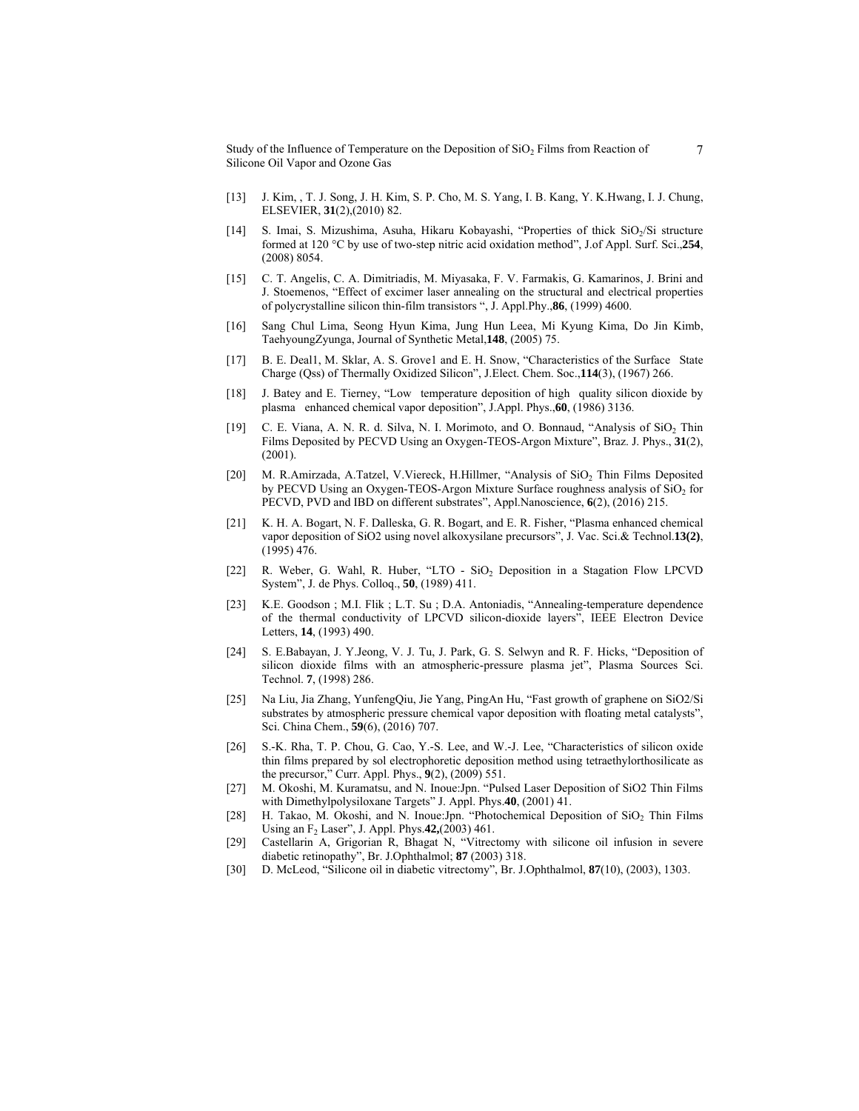Study of the Influence of Temperature on the Deposition of  $SiO<sub>2</sub>$  Films from Reaction of Silicone Oil Vapor and Ozone Gas

- [13] J. Kim, , T. J. Song, J. H. Kim, S. P. Cho, M. S. Yang, I. B. Kang, Y. K.Hwang, I. J. Chung, ELSEVIER, **31**(2),(2010) 82.
- [14] S. Imai, S. Mizushima, Asuha, Hikaru Kobayashi, "Properties of thick SiO<sub>2</sub>/Si structure formed at 120 °C by use of two-step nitric acid oxidation method", J.of Appl. Surf. Sci.,**254**, (2008) 8054.
- [15] C. T. Angelis, C. A. Dimitriadis, M. Miyasaka, F. V. Farmakis, G. Kamarinos, J. Brini and J. Stoemenos, "Effect of excimer laser annealing on the structural and electrical properties of polycrystalline silicon thin-film transistors ", J. Appl.Phy.,**86**, (1999) 4600.
- [16] Sang Chul Lima, Seong Hyun Kima, Jung Hun Leea, Mi Kyung Kima, Do Jin Kimb, TaehyoungZyunga, Journal of Synthetic Metal,**148**, (2005) 75.
- [17] B. E. Deal1, M. Sklar, A. S. Grove1 and E. H. Snow, "Characteristics of the Surface State Charge (Qss) of Thermally Oxidized Silicon", J.Elect. Chem. Soc.,**114**(3), (1967) 266.
- [18] J. Batey and E. Tierney, "Low temperature deposition of high quality silicon dioxide by plasma enhanced chemical vapor deposition", J.Appl. Phys., 60, (1986) 3136.
- [19] C. E. Viana, A. N. R. d. Silva, N. I. Morimoto, and O. Bonnaud, "Analysis of SiO2 Thin Films Deposited by PECVD Using an Oxygen-TEOS-Argon Mixture", Braz. J. Phys., **31**(2), (2001).
- [20] M. R.Amirzada, A.Tatzel, V.Viereck, H.Hillmer, "Analysis of SiO<sub>2</sub> Thin Films Deposited by PECVD Using an Oxygen-TEOS-Argon Mixture Surface roughness analysis of  $SiO<sub>2</sub>$  for PECVD, PVD and IBD on different substrates", Appl.Nanoscience, **6**(2), (2016) 215.
- [21] K. H. A. Bogart, N. F. Dalleska, G. R. Bogart, and E. R. Fisher, "Plasma enhanced chemical vapor deposition of SiO2 using novel alkoxysilane precursors", J. Vac. Sci.& Technol.**13(2)**, (1995) 476.
- [22] R. Weber, G. Wahl, R. Huber, "LTO SiO<sub>2</sub> Deposition in a Stagation Flow LPCVD System", J. de Phys. Colloq., **50**, (1989) 411.
- [23] K.E. Goodson ; M.I. Flik ; L.T. Su ; D.A. Antoniadis, "Annealing-temperature dependence of the thermal conductivity of LPCVD silicon-dioxide layers", IEEE Electron Device Letters, **14**, (1993) 490.
- [24] S. E.Babayan, J. Y.Jeong, V. J. Tu, J. Park, G. S. Selwyn and R. F. Hicks, "Deposition of silicon dioxide films with an atmospheric-pressure plasma jet", Plasma Sources Sci. Technol. **7**, (1998) 286.
- [25] Na Liu, Jia Zhang, YunfengQiu, Jie Yang, PingAn Hu, "Fast growth of graphene on SiO2/Si substrates by atmospheric pressure chemical vapor deposition with floating metal catalysts", Sci. China Chem., **59**(6), (2016) 707.
- [26] S.-K. Rha, T. P. Chou, G. Cao, Y.-S. Lee, and W.-J. Lee, "Characteristics of silicon oxide thin films prepared by sol electrophoretic deposition method using tetraethylorthosilicate as the precursor," Curr. Appl. Phys., **9**(2), (2009) 551.
- [27] M. Okoshi, M. Kuramatsu, and N. Inoue:Jpn. "Pulsed Laser Deposition of SiO2 Thin Films with Dimethylpolysiloxane Targets" J. Appl. Phys.**40**, (2001) 41.
- [28] H. Takao, M. Okoshi, and N. Inoue:Jpn. "Photochemical Deposition of SiO<sub>2</sub> Thin Films Using an F2 Laser", J. Appl. Phys.**42,**(2003) 461.
- [29] Castellarin A, Grigorian R, Bhagat N, "Vitrectomy with silicone oil infusion in severe diabetic retinopathy", Br. J.Ophthalmol; **87** (2003) 318.
- [30] D. McLeod, "Silicone oil in diabetic vitrectomy", Br. J.Ophthalmol, **87**(10), (2003), 1303.